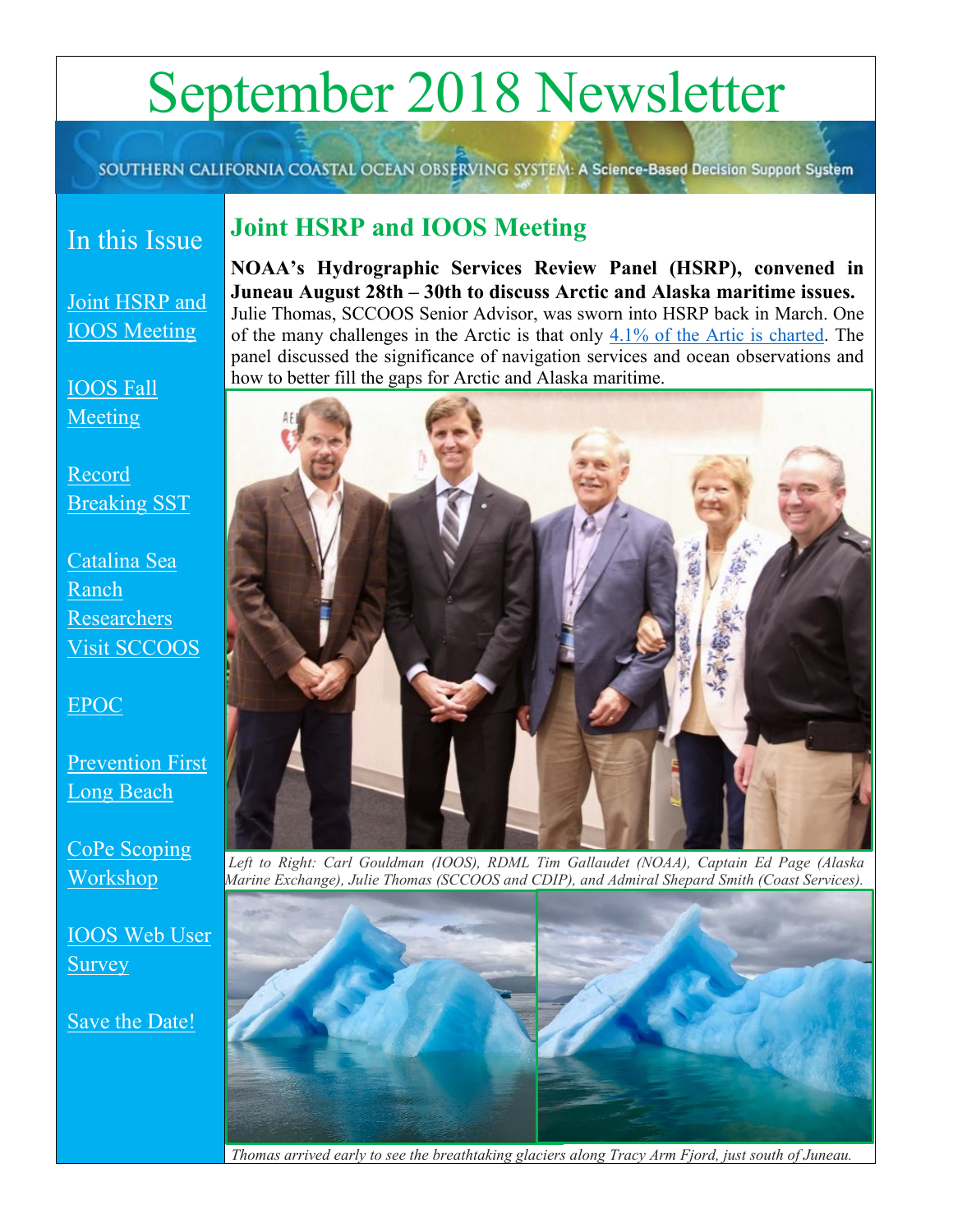# September 2018 Newsletter

SOUTHERN CALIFORNIA COASTAL OCEAN OBSERVING SYSTEM: A Science-Based Decision Support System

### In this Issue

### <span id="page-0-0"></span>**Joint HSRP and IOOS Meeting**

[Joint HSRP and](#page-0-0)  [IOOS Meeting](#page-0-0)

[IOOS Fall](#page-1-0)  [Meeting](#page-1-0)

[Record](#page-1-1)  [Breaking SST](#page-1-1)

[Catalina Sea](#page-2-0)  [Ranch](#page-2-0)  [Researchers](#page-2-0)  Visit [SCCOOS](#page-2-0)

[EPOC](#page-2-1)

[Prevention First](#page-3-0)  [Long Beach](#page-3-0)

[CoPe Scoping](#page-3-1)  [Workshop](#page-3-1)

[IOOS Web User](#page-4-0)  **[Survey](#page-4-0)** 

[Save the Date!](#page-5-0)

**NOAA's Hydrographic Services Review Panel (HSRP), convened in Juneau August 28th – 30th to discuss Arctic and Alaska maritime issues.**  Julie Thomas, SCCOOS Senior Advisor, was sworn into HSRP back in March. One of the many challenges in the Arctic is that only [4.1% of the Artic is charted.](https://ocsdata.ncd.noaa.gov/HSRP/documents/meeting-docs/2018/August%202018-Juneau%20Alaska/12%20HSRP%20issue%20papers%20w%20recommendation%202018/HSRP-Charting-Maritime-Arctic-28feb2018%20(1).pdf) The panel discussed the significance of navigation services and ocean observations and how to better fill the gaps for Arctic and Alaska maritime.



*Left to Right: Carl Gouldman (IOOS), RDML Tim Gallaudet (NOAA), Captain Ed Page (Alaska Marine Exchange), Julie Thomas (SCCOOS and CDIP), and Admiral Shepard Smith (Coast Services).* 



*Thomas arrived early to see the breathtaking glaciers along Tracy Arm Fjord, just south of Juneau.*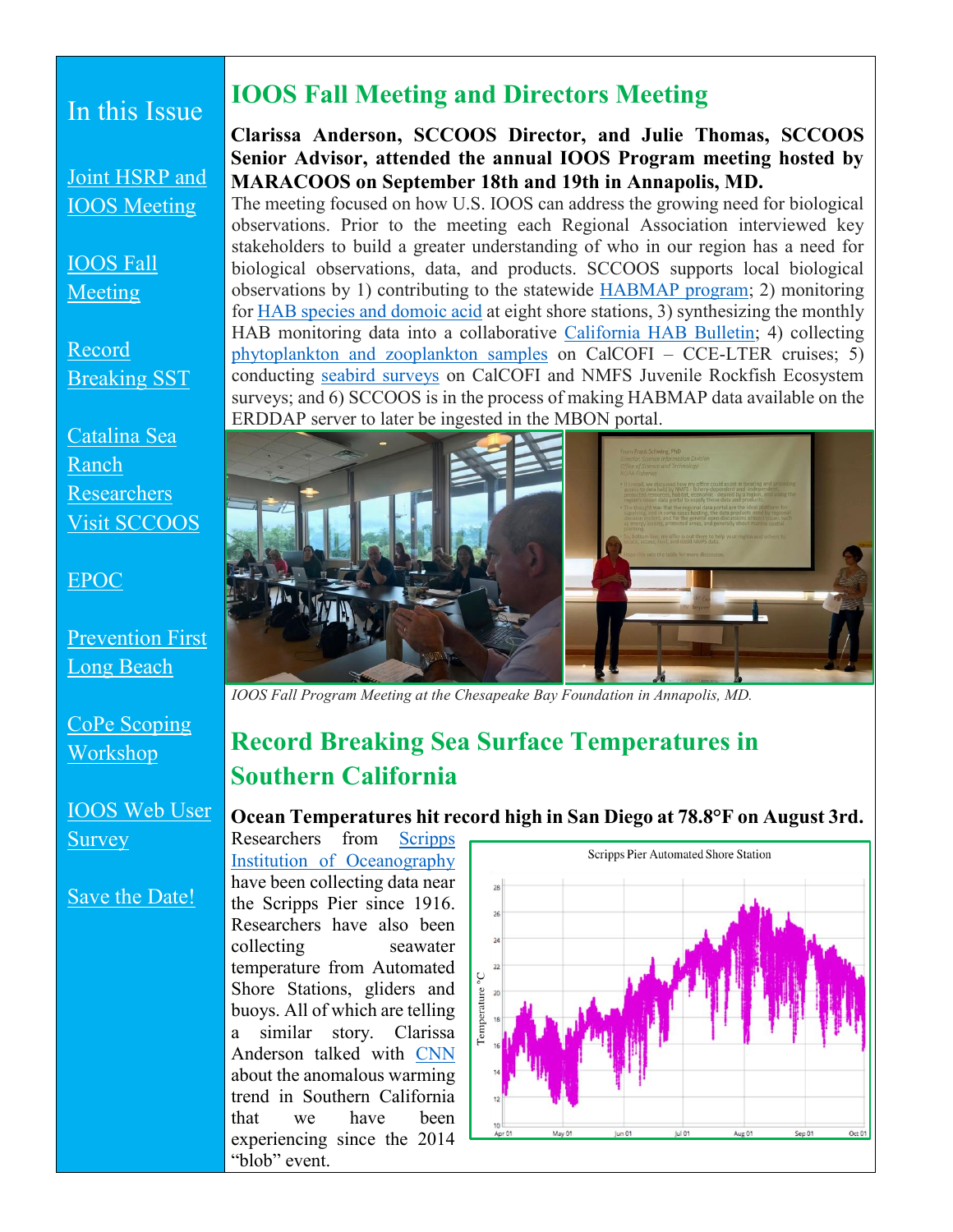### In this Issue

[Joint HSRP and](#page-0-0)  [IOOS Meeting](#page-0-0)

[IOOS Fall](#page-1-0)  [Meeting](#page-1-0)

[Record](#page-1-1)  [Breaking SST](#page-1-1)

[Catalina Sea](#page-2-0)  [Ranch](#page-2-0)  [Researchers](#page-2-0)  [Visit SCCOOS](#page-2-0)

[EPOC](#page-2-1)

[Prevention First](#page-3-0)  [Long Beach](#page-3-0)

[CoPe Scoping](#page-3-1)  [Workshop](#page-3-1)

[IOOS Web User](#page-4-0)  **[Survey](#page-4-0)** 

#### [Save the Date!](#page-5-0)

### <span id="page-1-0"></span>**IOOS Fall Meeting and Directors Meeting**

#### **Clarissa Anderson, SCCOOS Director, and Julie Thomas, SCCOOS Senior Advisor, attended the annual IOOS Program meeting hosted by MARACOOS on September 18th and 19th in Annapolis, MD.**

The meeting focused on how U.S. IOOS can address the growing need for biological observations. Prior to the meeting each Regional Association interviewed key stakeholders to build a greater understanding of who in our region has a need for biological observations, data, and products. SCCOOS supports local biological observations by 1) contributing to the statewide [HABMAP program;](http://www.habmap.info/) 2) monitoring for [HAB species and domoic acid](http://sccoos.org/data/habs/) at eight shore stations, 3) synthesizing the monthly HAB monitoring data into a collaborative [California HAB Bulletin;](http://sccoos.org/california-hab-bulletin/) 4) collecting [phytoplankton and zooplankton samples](http://sccoos.org/calcofi/) on CalCOFI – CCE-LTER cruises; 5) conducting [seabird surveys](http://sccoos.org/seabirds/) on CalCOFI and NMFS Juvenile Rockfish Ecosystem surveys; and 6) SCCOOS is in the process of making HABMAP data available on the ERDDAP server to later be ingested in the MBON portal.



*IOOS Fall Program Meeting at the Chesapeake Bay Foundation in Annapolis, MD.* 

### <span id="page-1-1"></span>**Record Breaking Sea Surface Temperatures in Southern California**

**Ocean Temperatures hit record high in San Diego at 78.8°F on August 3rd.**

Researchers from [Scripps](https://scripps.ucsd.edu/news/highest-ever-seawater-temperature-recorded-scripps-pier)  [Institution of Oceanography](https://scripps.ucsd.edu/news/highest-ever-seawater-temperature-recorded-scripps-pier) have been collecting data near the Scripps Pier since 1916. Researchers have also been collecting seawater temperature from Automated Shore Stations, gliders and buoys. All of which are telling a similar story. Clarissa Anderson talked with [CNN](https://www.facebook.com/SCCOOS/videos/2164390110513372/) about the anomalous warming trend in Southern California that we have been experiencing since the 2014 "blob" event.

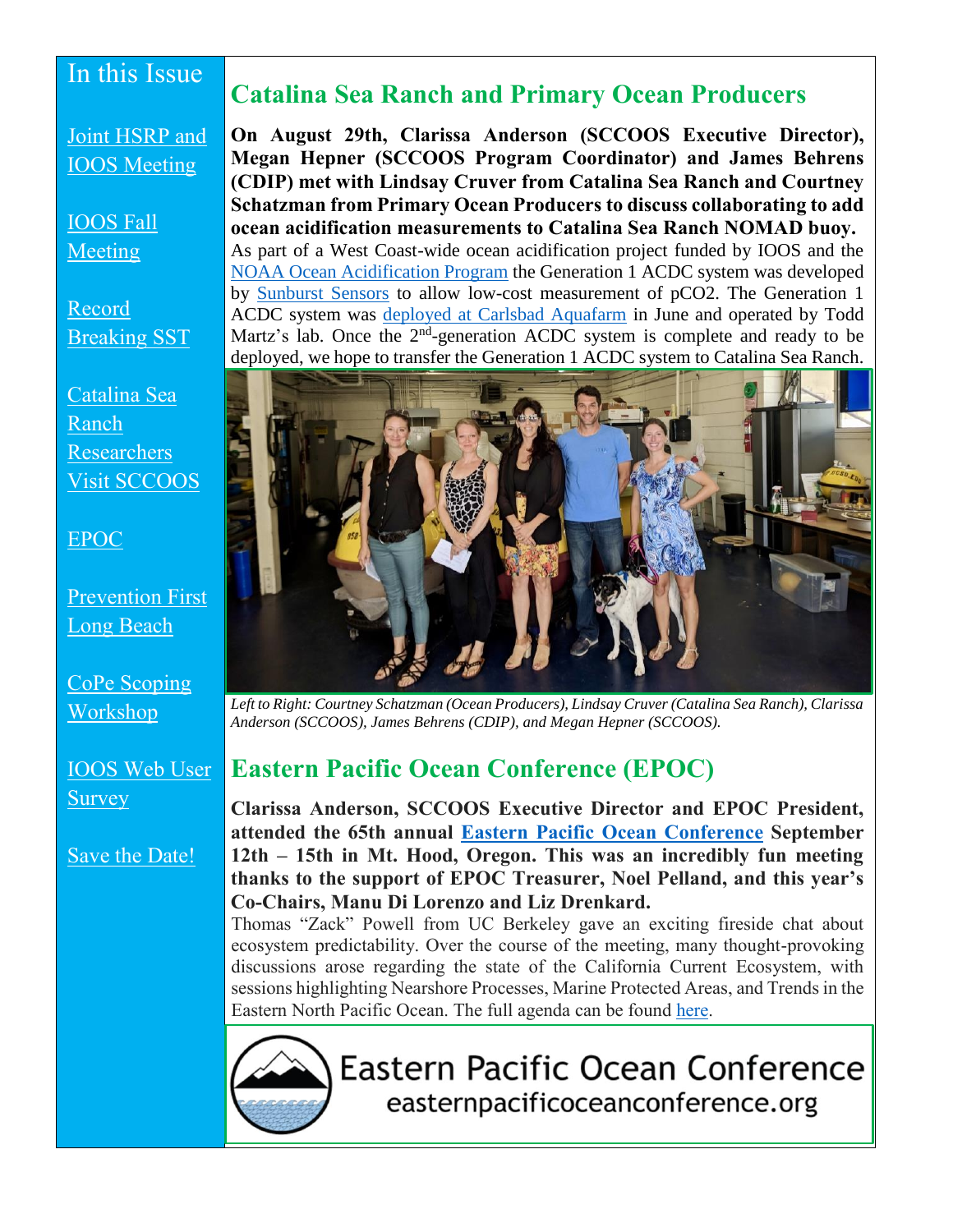### In this Issue

[Joint HSRP and](#page-0-0)  [IOOS Meeting](#page-0-0)

[IOOS Fall](#page-1-0)  [Meeting](#page-1-0)

[Record](#page-1-1)  [Breaking SST](#page-1-1)

[Catalina Sea](#page-2-0)  [Ranch](#page-2-0)  [Researchers](#page-2-0)  [Visit SCCOOS](#page-2-0)

#### [EPOC](#page-2-1)

[Prevention First](#page-3-0)  [Long Beach](#page-3-0)

[CoPe Scoping](#page-3-1)  [Workshop](#page-3-1)

[IOOS Web User](#page-4-0)  **[Survey](#page-4-0)** 

[Save the Date!](#page-5-0)

### <span id="page-2-0"></span>**Catalina Sea Ranch and Primary Ocean Producers**

**On August 29th, Clarissa Anderson (SCCOOS Executive Director), Megan Hepner (SCCOOS Program Coordinator) and James Behrens (CDIP) met with Lindsay Cruver from Catalina Sea Ranch and Courtney Schatzman from Primary Ocean Producers to discuss collaborating to add ocean acidification measurements to Catalina Sea Ranch NOMAD buoy.**  As part of a West Coast-wide ocean acidification project funded by IOOS and the [NOAA Ocean Acidification Program](https://oceanacidification.noaa.gov/) the Generation 1 ACDC system was developed by [Sunburst Sensors](http://sunburstsensors.com/) to allow low-cost measurement of pCO2. The Generation 1 ACDC system was [deployed at Carlsbad Aquafarm](http://sccoos.org/data/oa/) in June and operated by Todd Martz's lab. Once the  $2<sup>nd</sup>$ -generation ACDC system is complete and ready to be deployed, we hope to transfer the Generation 1 ACDC system to Catalina Sea Ranch.



*Left to Right: Courtney Schatzman (Ocean Producers), Lindsay Cruver (Catalina Sea Ranch), Clarissa Anderson (SCCOOS), James Behrens (CDIP), and Megan Hepner (SCCOOS).*

### <span id="page-2-1"></span>**Eastern Pacific Ocean Conference (EPOC)**

**Clarissa Anderson, SCCOOS Executive Director and EPOC President, attended the 65th annual [Eastern Pacific Ocean Conference](http://www.easternpacificoceanconference.org/program.html) September 12th – 15th in Mt. Hood, Oregon. This was an incredibly fun meeting thanks to the support of EPOC Treasurer, Noel Pelland, and this year's Co-Chairs, Manu Di Lorenzo and Liz Drenkard.**

Thomas "Zack" Powell from UC Berkeley gave an exciting fireside chat about ecosystem predictability. Over the course of the meeting, many thought-provoking discussions arose regarding the state of the California Current Ecosystem, with sessions highlighting Nearshore Processes, Marine Protected Areas, and Trends in the Eastern North Pacific Ocean. The full agenda can be found [here.](http://www.easternpacificoceanconference.org/EPOC_2018_Program.pdf)



**Eastern Pacific Ocean Conference** easternpacificoceanconference.org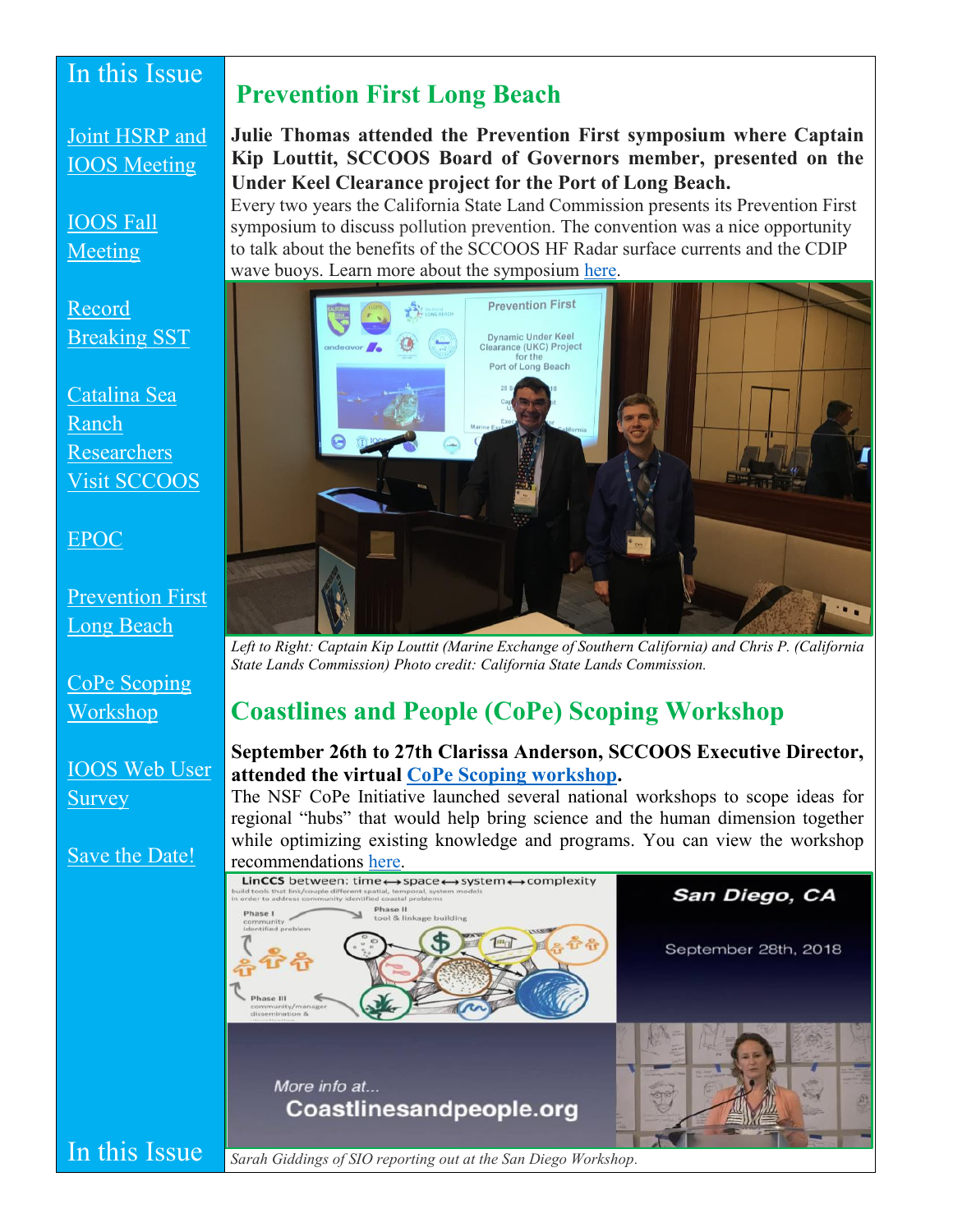### In this Issue

### <span id="page-3-0"></span>**Prevention First Long Beach**

[Joint HSRP and](#page-0-0)  [IOOS Meeting](#page-0-0)

[IOOS Fall](#page-1-0)  [Meeting](#page-1-0)

[Record](#page-1-1)  [Breaking SST](#page-1-1)

[Catalina Sea](#page-2-0)  [Ranch](#page-2-0)  [Researchers](#page-2-0)  [Visit SCCOOS](#page-2-0)

#### [EPOC](#page-2-1)

[Prevention First](#page-3-0)  [Long Beach](#page-3-0)

[CoPe Scoping](#page-3-1)  [Workshop](#page-3-1)

[IOOS Web User](#page-4-0)  [Survey](#page-4-0)

[Save the Date!](#page-5-0)

#### **Julie Thomas attended the Prevention First symposium where Captain Kip Louttit, SCCOOS Board of Governors member, presented on the Under Keel Clearance project for the Port of Long Beach.**

Every two years the California State Land Commission presents its Prevention First symposium to discuss pollution prevention. The convention was a nice opportunity to talk about the benefits of the SCCOOS HF Radar surface currents and the CDIP wave buoys. Learn more about the symposium [here.](http://www.slc.ca.gov/About/PF.html/XLnpZ/Prevention_First/PF2002.html)



*Left to Right: Captain Kip Louttit (Marine Exchange of Southern California) and Chris P. (California State Lands Commission) Photo credit: California State Lands Commission.* 

### <span id="page-3-1"></span>**Coastlines and People (CoPe) Scoping Workshop**

#### **September 26th to 27th Clarissa Anderson, SCCOOS Executive Director, attended the virtual [CoPe Scoping workshop.](https://coastlinesandpeople.org/)**

The NSF CoPe Initiative launched several national workshops to scope ideas for regional "hubs" that would help bring science and the human dimension together while optimizing existing knowledge and programs. You can view the workshop recommendations [here.](https://www.youtube.com/watch?v=jvki4IgDMqU)

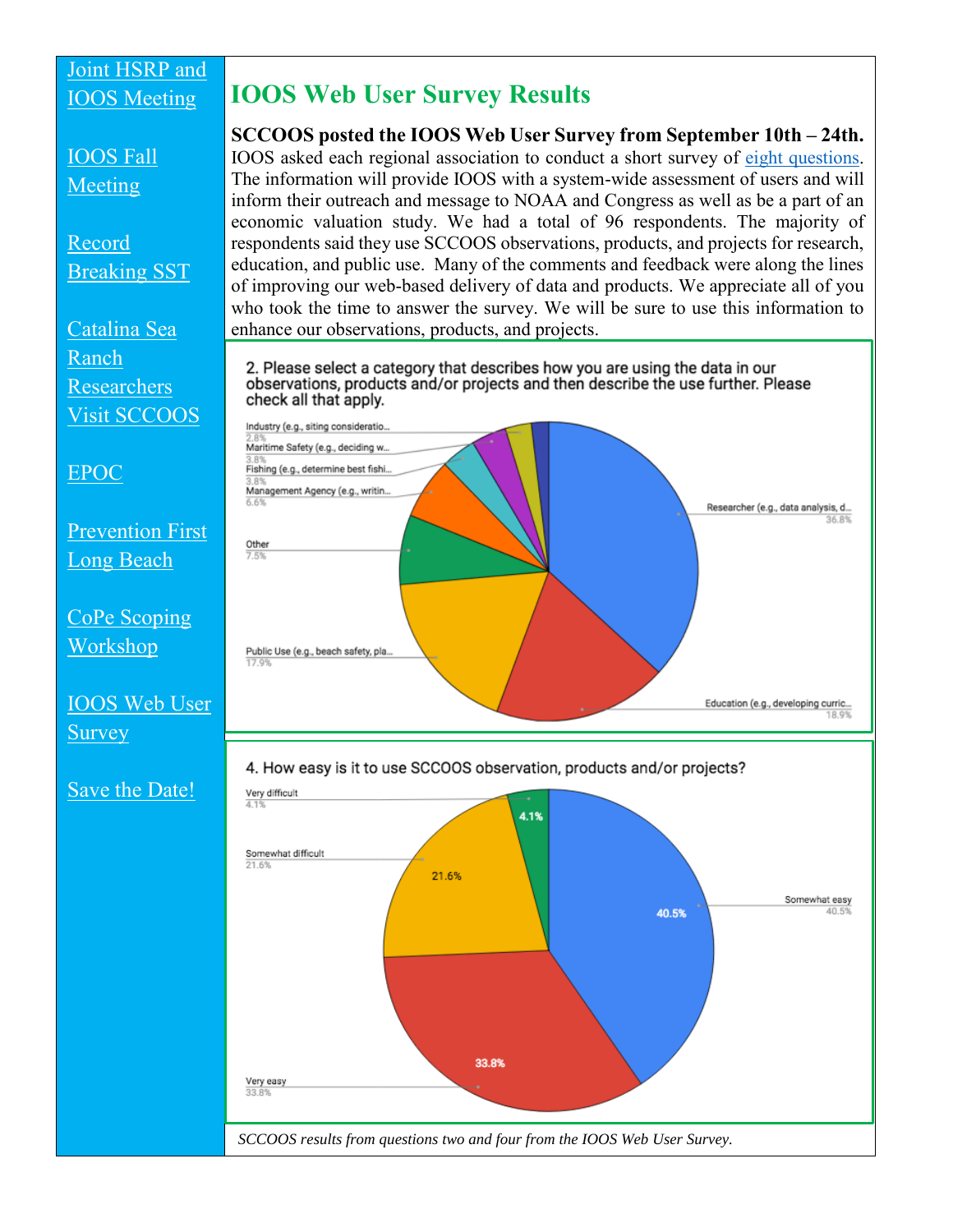#### [Joint HSRP and](#page-0-0)  [IOOS Meeting](#page-0-0)

### <span id="page-4-0"></span>**IOOS Web User Survey Results**

[IOOS Fall](#page-1-0)  [Meeting](#page-1-0) [Record](#page-1-1)  [Breaking SST](#page-1-1) who took the time to answer the survey. We will be sure to use this information to [Catalina Sea](#page-2-0)  enhance our observations, products, and projects. [Ranch](#page-2-0)  [Researchers](#page-2-0)  check all that apply. [Visit SCCOOS](#page-2-0) Industry (e.g., siting consideratio. Maritime Safety (e.g., deciding w. Fishing (e.g., determine best fishi. [EPOC](#page-2-1) Management Agency (e.g., writin. [Prevention First](#page-3-0)  Other [Long Beach](#page-3-0) [CoPe Scoping](#page-3-1)  [Workshop](#page-3-1) Public Use (e.g., beach safety, pla. [IOOS Web User](#page-4-0)  [Survey](#page-4-0) [Save the Date!](#page-5-0) Very difficult 4.1% Somewhat difficult 21.6% 33.8% Very easy  $33.8$ 

**SCCOOS posted the IOOS Web User Survey from September 10th – 24th.**  IOOS asked each regional association to conduct a short survey of [eight questions.](https://docs.google.com/forms/d/e/1FAIpQLSdK4xT61Bb1e4CWanBN2EFLf391gmWKmOatOvTivNrKkT8ohA/viewform?usp=sf_link) The information will provide IOOS with a system-wide assessment of users and will inform their outreach and message to NOAA and Congress as well as be a part of an economic valuation study. We had a total of 96 respondents. The majority of respondents said they use SCCOOS observations, products, and projects for research, education, and public use. Many of the comments and feedback were along the lines of improving our web-based delivery of data and products. We appreciate all of you

2. Please select a category that describes how you are using the data in our observations, products and/or projects and then describe the use further. Please



4. How easy is it to use SCCOOS observation, products and/or projects?

Somewhat easy 40.5% *SCCOOS results from questions two and four from the IOOS Web User Survey.*